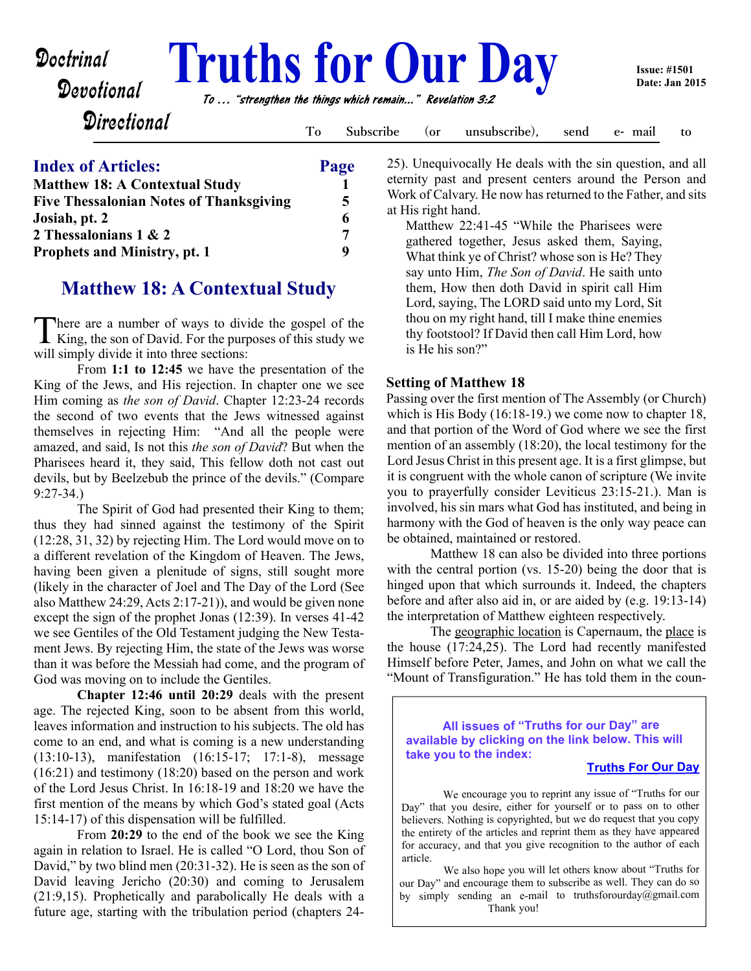# Doctrinal **Fruths for Our Day**<br>Devotional *To ... "strengthen the things which remain..." Revelation 3:2*

**Directional** 

**Devotional** 

**To Subscribe (or unsubscribe), send e- mail to**

# **Index of Articles: Page Matthew 18: A Contextual Study 1 Five Thessalonian Notes of Thanksgiving 5 Josiah, pt. 2** 6 **2 Thessalonians 1 & 2 7 Prophets and Ministry, pt. 1** 9

# **Matthew 18: A Contextual Study**

There are a number of ways to divide the gospel of the King, the son of David. For the purposes of this study we here are a number of ways to divide the gospel of the will simply divide it into three sections:

 From **1:1 to 12:45** we have the presentation of the King of the Jews, and His rejection. In chapter one we see Him coming as *the son of David*. Chapter 12:23-24 records the second of two events that the Jews witnessed against themselves in rejecting Him: "And all the people were amazed, and said, Is not this *the son of David*? But when the Pharisees heard it, they said, This fellow doth not cast out devils, but by Beelzebub the prince of the devils." (Compare 9:27-34.)

 The Spirit of God had presented their King to them; thus they had sinned against the testimony of the Spirit (12:28, 31, 32) by rejecting Him. The Lord would move on to a different revelation of the Kingdom of Heaven. The Jews, having been given a plenitude of signs, still sought more (likely in the character of Joel and The Day of the Lord (See also Matthew 24:29, Acts 2:17-21)), and would be given none except the sign of the prophet Jonas (12:39). In verses 41-42 we see Gentiles of the Old Testament judging the New Testament Jews. By rejecting Him, the state of the Jews was worse than it was before the Messiah had come, and the program of God was moving on to include the Gentiles.

**Chapter 12:46 until 20:29** deals with the present age. The rejected King, soon to be absent from this world, leaves information and instruction to his subjects. The old has come to an end, and what is coming is a new understanding (13:10-13), manifestation (16:15-17; 17:1-8), message (16:21) and testimony (18:20) based on the person and work of the Lord Jesus Christ. In 16:18-19 and 18:20 we have the first mention of the means by which God's stated goal (Acts 15:14-17) of this dispensation will be fulfilled.

 From **20:29** to the end of the book we see the King again in relation to Israel. He is called "O Lord, thou Son of David," by two blind men (20:31-32). He is seen as the son of David leaving Jericho (20:30) and coming to Jerusalem (21:9,15). Prophetically and parabolically He deals with a future age, starting with the tribulation period (chapters 2425). Unequivocally He deals with the sin question, and all eternity past and present centers around the Person and Work of Calvary. He now has returned to the Father, and sits at His right hand.

 Matthew 22:41-45 "While the Pharisees were gathered together, Jesus asked them, Saying, What think ye of Christ? whose son is He? They say unto Him, *The Son of David*. He saith unto them, How then doth David in spirit call Him Lord, saying, The LORD said unto my Lord, Sit thou on my right hand, till I make thine enemies thy footstool? If David then call Him Lord, how is He his son?"

# **Setting of Matthew 18**

Passing over the first mention of The Assembly (or Church) which is His Body (16:18-19.) we come now to chapter 18, and that portion of the Word of God where we see the first mention of an assembly (18:20), the local testimony for the Lord Jesus Christ in this present age. It is a first glimpse, but it is congruent with the whole canon of scripture (We invite you to prayerfully consider Leviticus 23:15-21.). Man is involved, his sin mars what God has instituted, and being in harmony with the God of heaven is the only way peace can be obtained, maintained or restored.

 Matthew 18 can also be divided into three portions with the central portion (vs. 15-20) being the door that is hinged upon that which surrounds it. Indeed, the chapters before and after also aid in, or are aided by (e.g. 19:13-14) the interpretation of Matthew eighteen respectively.

 The geographic location is Capernaum, the place is the house (17:24,25). The Lord had recently manifested Himself before Peter, James, and John on what we call the "Mount of Transfiguration." He has told them in the coun-

**All issues of "Truths for our Day" are available by clicking on the link below. This will take you to the index:**

# **[Truths For Our Day](http://truthsforourday.com)**

We encourage you to reprint any issue of "Truths for our Day" that you desire, either for yourself or to pass on to other believers. Nothing is copyrighted, but we do request that you copy the entirety of the articles and reprint them as they have appeared for accuracy, and that you give recognition to the author of each article.

 We also hope you will let others know about "Truths for our Day" and encourage them to subscribe as well. They can do so by simply sending an e-mail to truthsforourday@gmail.com Thank you!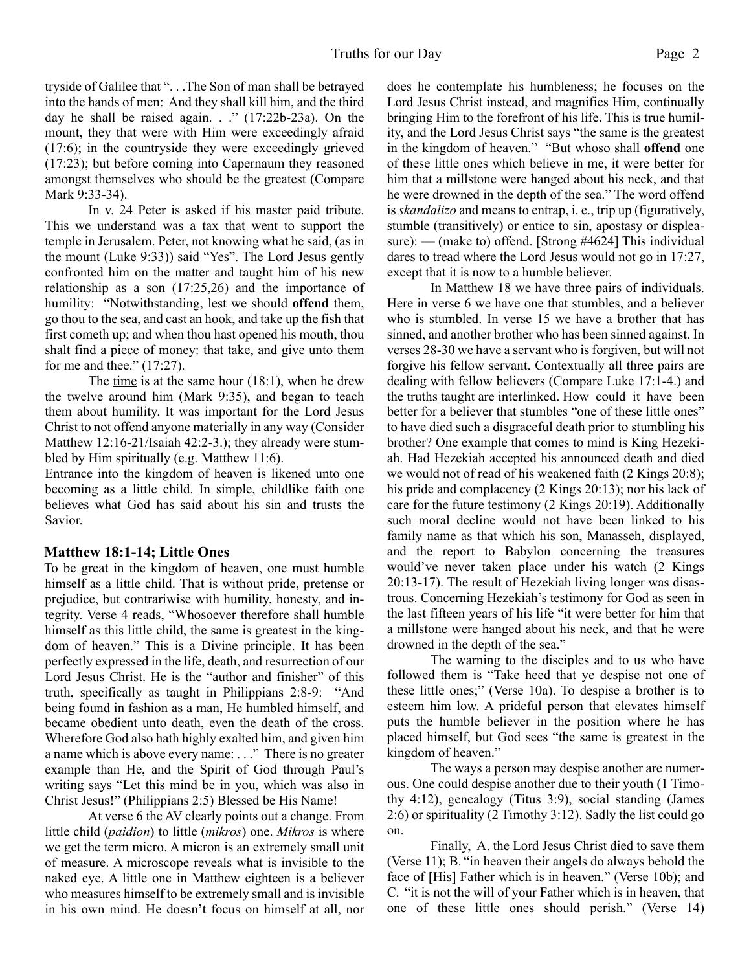tryside of Galilee that ". . .The Son of man shall be betrayed into the hands of men: And they shall kill him, and the third day he shall be raised again.  $\therefore$  (17:22b-23a). On the mount, they that were with Him were exceedingly afraid (17:6); in the countryside they were exceedingly grieved (17:23); but before coming into Capernaum they reasoned amongst themselves who should be the greatest (Compare Mark 9:33-34).

 In v. 24 Peter is asked if his master paid tribute. This we understand was a tax that went to support the temple in Jerusalem. Peter, not knowing what he said, (as in the mount (Luke 9:33)) said "Yes". The Lord Jesus gently confronted him on the matter and taught him of his new relationship as a son (17:25,26) and the importance of humility: "Notwithstanding, lest we should **offend** them, go thou to the sea, and cast an hook, and take up the fish that first cometh up; and when thou hast opened his mouth, thou shalt find a piece of money: that take, and give unto them for me and thee." (17:27).

 The time is at the same hour (18:1), when he drew the twelve around him (Mark 9:35), and began to teach them about humility. It was important for the Lord Jesus Christ to not offend anyone materially in any way (Consider Matthew 12:16-21/Isaiah 42:2-3.); they already were stumbled by Him spiritually (e.g. Matthew 11:6).

 Entrance into the kingdom of heaven is likened unto one becoming as a little child. In simple, childlike faith one believes what God has said about his sin and trusts the Savior.

# **Matthew 18:1-14; Little Ones**

To be great in the kingdom of heaven, one must humble himself as a little child. That is without pride, pretense or prejudice, but contrariwise with humility, honesty, and integrity. Verse 4 reads, "Whosoever therefore shall humble himself as this little child, the same is greatest in the kingdom of heaven." This is a Divine principle. It has been perfectly expressed in the life, death, and resurrection of our Lord Jesus Christ. He is the "author and finisher" of this truth, specifically as taught in Philippians 2:8-9: "And being found in fashion as a man, He humbled himself, and became obedient unto death, even the death of the cross. Wherefore God also hath highly exalted him, and given him a name which is above every name: . . ." There is no greater example than He, and the Spirit of God through Paul's writing says "Let this mind be in you, which was also in Christ Jesus!" (Philippians 2:5) Blessed be His Name!

 At verse 6 the AV clearly points out a change. From little child (*paidion*) to little (*mikros*) one. *Mikros* is where we get the term micro. A micron is an extremely small unit of measure. A microscope reveals what is invisible to the naked eye. A little one in Matthew eighteen is a believer who measures himself to be extremely small and is invisible in his own mind. He doesn't focus on himself at all, nor

does he contemplate his humbleness; he focuses on the Lord Jesus Christ instead, and magnifies Him, continually bringing Him to the forefront of his life. This is true humility, and the Lord Jesus Christ says "the same is the greatest in the kingdom of heaven." "But whoso shall **offend** one of these little ones which believe in me, it were better for him that a millstone were hanged about his neck, and that he were drowned in the depth of the sea." The word offend is *skandalizo* and means to entrap, i. e., trip up (figuratively, stumble (transitively) or entice to sin, apostasy or displeasure): — (make to) offend. [Strong #4624] This individual dares to tread where the Lord Jesus would not go in 17:27, except that it is now to a humble believer.

 In Matthew 18 we have three pairs of individuals. Here in verse 6 we have one that stumbles, and a believer who is stumbled. In verse 15 we have a brother that has sinned, and another brother who has been sinned against. In verses 28-30 we have a servant who is forgiven, but will not forgive his fellow servant. Contextually all three pairs are dealing with fellow believers (Compare Luke 17:1-4.) and the truths taught are interlinked. How could it have been better for a believer that stumbles "one of these little ones" to have died such a disgraceful death prior to stumbling his brother? One example that comes to mind is King Hezekiah. Had Hezekiah accepted his announced death and died we would not of read of his weakened faith (2 Kings 20:8); his pride and complacency (2 Kings 20:13); nor his lack of care for the future testimony (2 Kings 20:19). Additionally such moral decline would not have been linked to his family name as that which his son, Manasseh, displayed, and the report to Babylon concerning the treasures would've never taken place under his watch (2 Kings 20:13-17). The result of Hezekiah living longer was disastrous. Concerning Hezekiah's testimony for God as seen in the last fifteen years of his life "it were better for him that a millstone were hanged about his neck, and that he were drowned in the depth of the sea."

 The warning to the disciples and to us who have followed them is "Take heed that ye despise not one of these little ones;" (Verse 10a). To despise a brother is to esteem him low. A prideful person that elevates himself puts the humble believer in the position where he has placed himself, but God sees "the same is greatest in the kingdom of heaven."

 The ways a person may despise another are numerous. One could despise another due to their youth (1 Timothy 4:12), genealogy (Titus 3:9), social standing (James 2:6) or spirituality (2 Timothy 3:12). Sadly the list could go on.

 Finally, A. the Lord Jesus Christ died to save them (Verse 11); B. "in heaven their angels do always behold the face of [His] Father which is in heaven." (Verse 10b); and C. "it is not the will of your Father which is in heaven, that one of these little ones should perish." (Verse 14)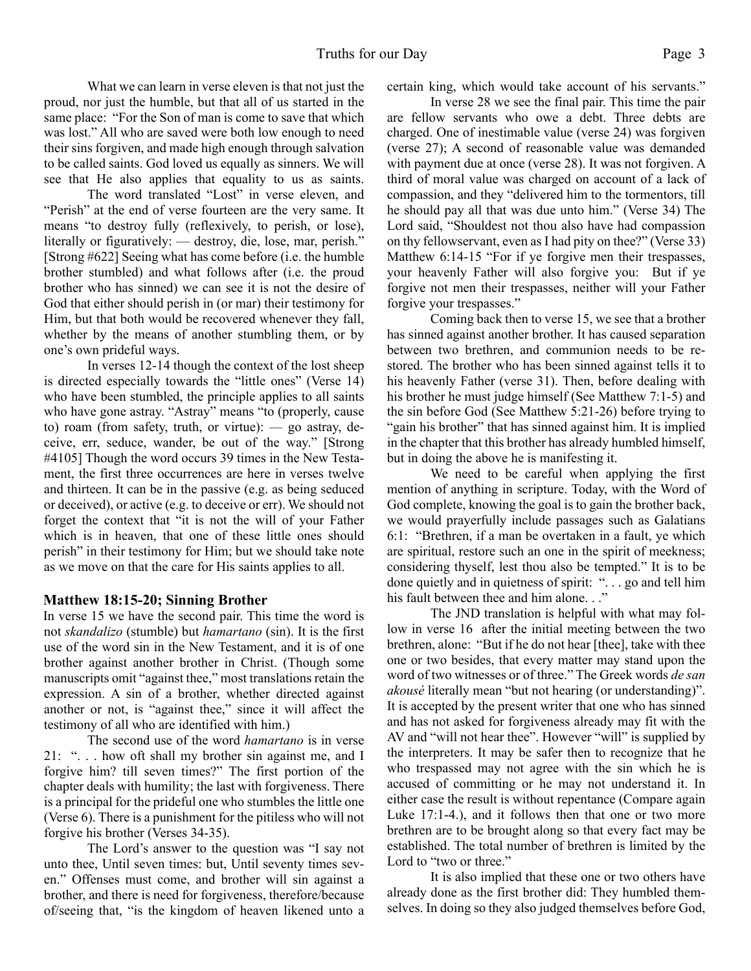What we can learn in verse eleven is that not just the proud, nor just the humble, but that all of us started in the same place: "For the Son of man is come to save that which was lost." All who are saved were both low enough to need their sins forgiven, and made high enough through salvation to be called saints. God loved us equally as sinners. We will see that He also applies that equality to us as saints.

 The word translated "Lost" in verse eleven, and "Perish" at the end of verse fourteen are the very same. It means "to destroy fully (reflexively, to perish, or lose), literally or figuratively: — destroy, die, lose, mar, perish." [Strong #622] Seeing what has come before (i.e. the humble brother stumbled) and what follows after (i.e. the proud brother who has sinned) we can see it is not the desire of God that either should perish in (or mar) their testimony for Him, but that both would be recovered whenever they fall, whether by the means of another stumbling them, or by one's own prideful ways.

 In verses 12-14 though the context of the lost sheep is directed especially towards the "little ones" (Verse 14) who have been stumbled, the principle applies to all saints who have gone astray. "Astray" means "to (properly, cause to) roam (from safety, truth, or virtue):  $-$  go astray, deceive, err, seduce, wander, be out of the way." [Strong #4105] Though the word occurs 39 times in the New Testament, the first three occurrences are here in verses twelve and thirteen. It can be in the passive (e.g. as being seduced or deceived), or active (e.g. to deceive or err). We should not forget the context that "it is not the will of your Father which is in heaven, that one of these little ones should perish" in their testimony for Him; but we should take note as we move on that the care for His saints applies to all.

#### **Matthew 18:15-20; Sinning Brother**

In verse 15 we have the second pair. This time the word is not *skandalizo* (stumble) but *hamartano* (sin). It is the first use of the word sin in the New Testament, and it is of one brother against another brother in Christ. (Though some manuscripts omit "against thee," most translations retain the expression. A sin of a brother, whether directed against another or not, is "against thee," since it will affect the testimony of all who are identified with him.)

 The second use of the word *hamartano* is in verse 21: ". . . how oft shall my brother sin against me, and I forgive him? till seven times?" The first portion of the chapter deals with humility; the last with forgiveness. There is a principal for the prideful one who stumbles the little one (Verse 6). There is a punishment for the pitiless who will not forgive his brother (Verses 34-35).

 The Lord's answer to the question was "I say not unto thee, Until seven times: but, Until seventy times seven." Offenses must come, and brother will sin against a brother, and there is need for forgiveness, therefore/because of/seeing that, "is the kingdom of heaven likened unto a certain king, which would take account of his servants."

 In verse 28 we see the final pair. This time the pair are fellow servants who owe a debt. Three debts are charged. One of inestimable value (verse 24) was forgiven (verse 27); A second of reasonable value was demanded with payment due at once (verse 28). It was not forgiven. A third of moral value was charged on account of a lack of compassion, and they "delivered him to the tormentors, till he should pay all that was due unto him." (Verse 34) The Lord said, "Shouldest not thou also have had compassion on thy fellowservant, even as I had pity on thee?" (Verse 33) Matthew 6:14-15 "For if ye forgive men their trespasses, your heavenly Father will also forgive you: But if ye forgive not men their trespasses, neither will your Father forgive your trespasses."

 Coming back then to verse 15, we see that a brother has sinned against another brother. It has caused separation between two brethren, and communion needs to be restored. The brother who has been sinned against tells it to his heavenly Father (verse 31). Then, before dealing with his brother he must judge himself (See Matthew 7:1-5) and the sin before God (See Matthew 5:21-26) before trying to "gain his brother" that has sinned against him. It is implied in the chapter that this brother has already humbled himself, but in doing the above he is manifesting it.

 We need to be careful when applying the first mention of anything in scripture. Today, with the Word of God complete, knowing the goal is to gain the brother back, we would prayerfully include passages such as Galatians 6:1: "Brethren, if a man be overtaken in a fault, ye which are spiritual, restore such an one in the spirit of meekness; considering thyself, lest thou also be tempted." It is to be done quietly and in quietness of spirit: ". . . go and tell him his fault between thee and him alone..."

 The JND translation is helpful with what may follow in verse 16 after the initial meeting between the two brethren, alone: "But if he do not hear [thee], take with thee one or two besides, that every matter may stand upon the word of two witnesses or of three." The Greek words *de san akousé* literally mean "but not hearing (or understanding)". It is accepted by the present writer that one who has sinned and has not asked for forgiveness already may fit with the AV and "will not hear thee". However "will" is supplied by the interpreters. It may be safer then to recognize that he who trespassed may not agree with the sin which he is accused of committing or he may not understand it. In either case the result is without repentance (Compare again Luke 17:1-4.), and it follows then that one or two more brethren are to be brought along so that every fact may be established. The total number of brethren is limited by the Lord to "two or three."

 It is also implied that these one or two others have already done as the first brother did: They humbled themselves. In doing so they also judged themselves before God,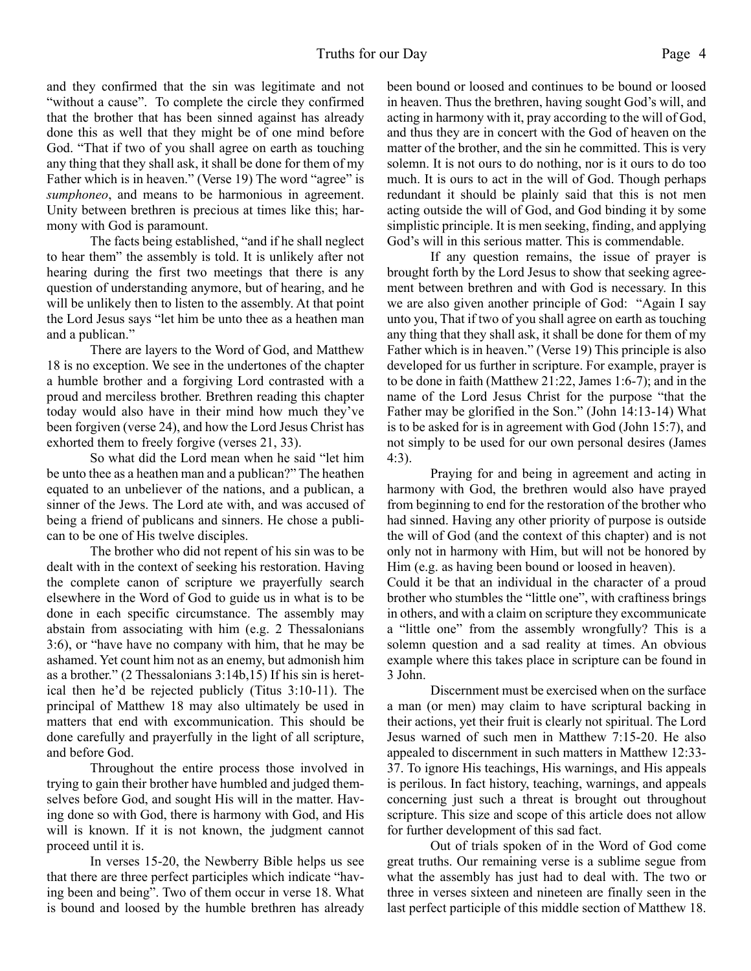and they confirmed that the sin was legitimate and not "without a cause". To complete the circle they confirmed that the brother that has been sinned against has already done this as well that they might be of one mind before God. "That if two of you shall agree on earth as touching any thing that they shall ask, it shall be done for them of my Father which is in heaven." (Verse 19) The word "agree" is *sumphoneo*, and means to be harmonious in agreement. Unity between brethren is precious at times like this; harmony with God is paramount.

 The facts being established, "and if he shall neglect to hear them" the assembly is told. It is unlikely after not hearing during the first two meetings that there is any question of understanding anymore, but of hearing, and he will be unlikely then to listen to the assembly. At that point the Lord Jesus says "let him be unto thee as a heathen man and a publican."

 There are layers to the Word of God, and Matthew 18 is no exception. We see in the undertones of the chapter a humble brother and a forgiving Lord contrasted with a proud and merciless brother. Brethren reading this chapter today would also have in their mind how much they've been forgiven (verse 24), and how the Lord Jesus Christ has exhorted them to freely forgive (verses 21, 33).

 So what did the Lord mean when he said "let him be unto thee as a heathen man and a publican?" The heathen equated to an unbeliever of the nations, and a publican, a sinner of the Jews. The Lord ate with, and was accused of being a friend of publicans and sinners. He chose a publican to be one of His twelve disciples.

 The brother who did not repent of his sin was to be dealt with in the context of seeking his restoration. Having the complete canon of scripture we prayerfully search elsewhere in the Word of God to guide us in what is to be done in each specific circumstance. The assembly may abstain from associating with him (e.g. 2 Thessalonians 3:6), or "have have no company with him, that he may be ashamed. Yet count him not as an enemy, but admonish him as a brother." (2 Thessalonians 3:14b,15) If his sin is heretical then he'd be rejected publicly (Titus 3:10-11). The principal of Matthew 18 may also ultimately be used in matters that end with excommunication. This should be done carefully and prayerfully in the light of all scripture, and before God.

 Throughout the entire process those involved in trying to gain their brother have humbled and judged themselves before God, and sought His will in the matter. Having done so with God, there is harmony with God, and His will is known. If it is not known, the judgment cannot proceed until it is.

 In verses 15-20, the Newberry Bible helps us see that there are three perfect participles which indicate "having been and being". Two of them occur in verse 18. What is bound and loosed by the humble brethren has already

been bound or loosed and continues to be bound or loosed in heaven. Thus the brethren, having sought God's will, and acting in harmony with it, pray according to the will of God, and thus they are in concert with the God of heaven on the matter of the brother, and the sin he committed. This is very solemn. It is not ours to do nothing, nor is it ours to do too much. It is ours to act in the will of God. Though perhaps redundant it should be plainly said that this is not men acting outside the will of God, and God binding it by some simplistic principle. It is men seeking, finding, and applying God's will in this serious matter. This is commendable.

 If any question remains, the issue of prayer is brought forth by the Lord Jesus to show that seeking agreement between brethren and with God is necessary. In this we are also given another principle of God: "Again I say unto you, That if two of you shall agree on earth as touching any thing that they shall ask, it shall be done for them of my Father which is in heaven." (Verse 19) This principle is also developed for us further in scripture. For example, prayer is to be done in faith (Matthew 21:22, James 1:6-7); and in the name of the Lord Jesus Christ for the purpose "that the Father may be glorified in the Son." (John 14:13-14) What is to be asked for is in agreement with God (John 15:7), and not simply to be used for our own personal desires (James 4:3).

 Praying for and being in agreement and acting in harmony with God, the brethren would also have prayed from beginning to end for the restoration of the brother who had sinned. Having any other priority of purpose is outside the will of God (and the context of this chapter) and is not only not in harmony with Him, but will not be honored by Him (e.g. as having been bound or loosed in heaven).

 Could it be that an individual in the character of a proud brother who stumbles the "little one", with craftiness brings in others, and with a claim on scripture they excommunicate a "little one" from the assembly wrongfully? This is a solemn question and a sad reality at times. An obvious example where this takes place in scripture can be found in 3 John.

 Discernment must be exercised when on the surface a man (or men) may claim to have scriptural backing in their actions, yet their fruit is clearly not spiritual. The Lord Jesus warned of such men in Matthew 7:15-20. He also appealed to discernment in such matters in Matthew 12:33- 37. To ignore His teachings, His warnings, and His appeals is perilous. In fact history, teaching, warnings, and appeals concerning just such a threat is brought out throughout scripture. This size and scope of this article does not allow for further development of this sad fact.

 Out of trials spoken of in the Word of God come great truths. Our remaining verse is a sublime segue from what the assembly has just had to deal with. The two or three in verses sixteen and nineteen are finally seen in the last perfect participle of this middle section of Matthew 18.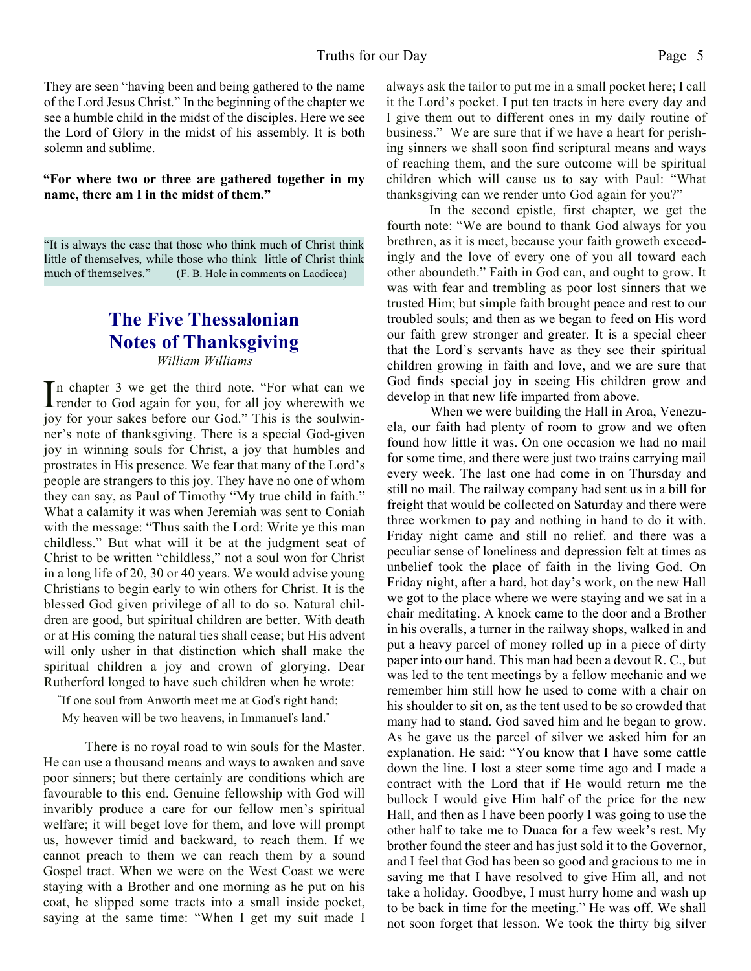They are seen "having been and being gathered to the name of the Lord Jesus Christ." In the beginning of the chapter we see a humble child in the midst of the disciples. Here we see the Lord of Glory in the midst of his assembly. It is both solemn and sublime.

#### **"For where two or three are gathered together in my name, there am I in the midst of them."**

"It is always the case that those who think much of Christ think little of themselves, while those who think little of Christ think much of themselves." (F. B. Hole in comments on Laodicea)  $(F, B, Hole$  in comments on Laodicea)

# **The Five Thessalonian Notes of Thanksgiving**

*William Williams*

In chapter 3 we get the third note. "For what can we render to God again for you, for all joy wherewith we n chapter 3 we get the third note. "For what can we joy for your sakes before our God." This is the soulwinner's note of thanksgiving. There is a special God-given joy in winning souls for Christ, a joy that humbles and prostrates in His presence. We fear that many of the Lord's people are strangers to this joy. They have no one of whom they can say, as Paul of Timothy "My true child in faith." What a calamity it was when Jeremiah was sent to Coniah with the message: "Thus saith the Lord: Write ye this man childless." But what will it be at the judgment seat of Christ to be written "childless," not a soul won for Christ in a long life of 20, 30 or 40 years. We would advise young Christians to begin early to win others for Christ. It is the blessed God given privilege of all to do so. Natural children are good, but spiritual children are better. With death or at His coming the natural ties shall cease; but His advent will only usher in that distinction which shall make the spiritual children a joy and crown of glorying. Dear Rutherford longed to have such children when he wrote:

 "If one soul from Anworth meet me at God' s right hand; My heaven will be two heavens, in Immanuel's land."

There is no royal road to win souls for the Master. He can use a thousand means and ways to awaken and save poor sinners; but there certainly are conditions which are favourable to this end. Genuine fellowship with God will invaribly produce a care for our fellow men's spiritual welfare; it will beget love for them, and love will prompt us, however timid and backward, to reach them. If we cannot preach to them we can reach them by a sound Gospel tract. When we were on the West Coast we were staying with a Brother and one morning as he put on his coat, he slipped some tracts into a small inside pocket, saying at the same time: "When I get my suit made I always ask the tailor to put me in a small pocket here; I call it the Lord's pocket. I put ten tracts in here every day and I give them out to different ones in my daily routine of business." We are sure that if we have a heart for perishing sinners we shall soon find scriptural means and ways of reaching them, and the sure outcome will be spiritual children which will cause us to say with Paul: "What thanksgiving can we render unto God again for you?"

In the second epistle, first chapter, we get the fourth note: "We are bound to thank God always for you brethren, as it is meet, because your faith groweth exceedingly and the love of every one of you all toward each other aboundeth." Faith in God can, and ought to grow. It was with fear and trembling as poor lost sinners that we trusted Him; but simple faith brought peace and rest to our troubled souls; and then as we began to feed on His word our faith grew stronger and greater. It is a special cheer that the Lord's servants have as they see their spiritual children growing in faith and love, and we are sure that God finds special joy in seeing His children grow and develop in that new life imparted from above.

When we were building the Hall in Aroa, Venezuela, our faith had plenty of room to grow and we often found how little it was. On one occasion we had no mail for some time, and there were just two trains carrying mail every week. The last one had come in on Thursday and still no mail. The railway company had sent us in a bill for freight that would be collected on Saturday and there were three workmen to pay and nothing in hand to do it with. Friday night came and still no relief. and there was a peculiar sense of loneliness and depression felt at times as unbelief took the place of faith in the living God. On Friday night, after a hard, hot day's work, on the new Hall we got to the place where we were staying and we sat in a chair meditating. A knock came to the door and a Brother in his overalls, a turner in the railway shops, walked in and put a heavy parcel of money rolled up in a piece of dirty paper into our hand. This man had been a devout R. C., but was led to the tent meetings by a fellow mechanic and we remember him still how he used to come with a chair on his shoulder to sit on, as the tent used to be so crowded that many had to stand. God saved him and he began to grow. As he gave us the parcel of silver we asked him for an explanation. He said: "You know that I have some cattle down the line. I lost a steer some time ago and I made a contract with the Lord that if He would return me the bullock I would give Him half of the price for the new Hall, and then as I have been poorly I was going to use the other half to take me to Duaca for a few week's rest. My brother found the steer and has just sold it to the Governor, and I feel that God has been so good and gracious to me in saving me that I have resolved to give Him all, and not take a holiday. Goodbye, I must hurry home and wash up to be back in time for the meeting." He was off. We shall not soon forget that lesson. We took the thirty big silver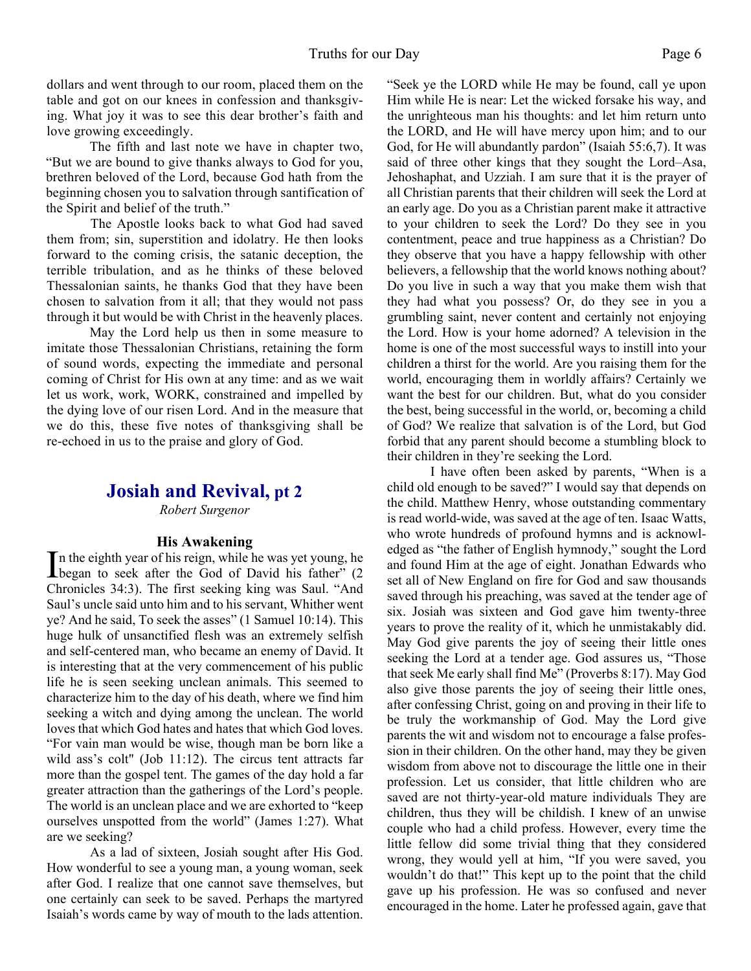dollars and went through to our room, placed them on the table and got on our knees in confession and thanksgiving. What joy it was to see this dear brother's faith and love growing exceedingly.

The fifth and last note we have in chapter two, "But we are bound to give thanks always to God for you, brethren beloved of the Lord, because God hath from the beginning chosen you to salvation through santification of the Spirit and belief of the truth."

The Apostle looks back to what God had saved them from; sin, superstition and idolatry. He then looks forward to the coming crisis, the satanic deception, the terrible tribulation, and as he thinks of these beloved Thessalonian saints, he thanks God that they have been chosen to salvation from it all; that they would not pass through it but would be with Christ in the heavenly places.

May the Lord help us then in some measure to imitate those Thessalonian Christians, retaining the form of sound words, expecting the immediate and personal coming of Christ for His own at any time: and as we wait let us work, work, WORK, constrained and impelled by the dying love of our risen Lord. And in the measure that we do this, these five notes of thanksgiving shall be re-echoed in us to the praise and glory of God.

# **Josiah and Revival, pt 2**

*Robert Surgenor*

# **His Awakening**

In the eighth year of his reign, while he was yet young, he<br>began to seek after the God of David his father" (2 n the eighth year of his reign, while he was yet young, he Chronicles 34:3). The first seeking king was Saul. "And Saul's uncle said unto him and to his servant, Whither went ye? And he said, To seek the asses" (1 Samuel 10:14). This huge hulk of unsanctified flesh was an extremely selfish and self-centered man, who became an enemy of David. It is interesting that at the very commencement of his public life he is seen seeking unclean animals. This seemed to characterize him to the day of his death, where we find him seeking a witch and dying among the unclean. The world loves that which God hates and hates that which God loves. "For vain man would be wise, though man be born like a wild ass's colt" (Job 11:12). The circus tent attracts far more than the gospel tent. The games of the day hold a far greater attraction than the gatherings of the Lord's people. The world is an unclean place and we are exhorted to "keep ourselves unspotted from the world" (James 1:27). What are we seeking?

 As a lad of sixteen, Josiah sought after His God. How wonderful to see a young man, a young woman, seek after God. I realize that one cannot save themselves, but one certainly can seek to be saved. Perhaps the martyred Isaiah's words came by way of mouth to the lads attention. "Seek ye the LORD while He may be found, call ye upon Him while He is near: Let the wicked forsake his way, and the unrighteous man his thoughts: and let him return unto the LORD, and He will have mercy upon him; and to our God, for He will abundantly pardon" (Isaiah 55:6,7). It was said of three other kings that they sought the Lord–Asa, Jehoshaphat, and Uzziah. I am sure that it is the prayer of all Christian parents that their children will seek the Lord at an early age. Do you as a Christian parent make it attractive to your children to seek the Lord? Do they see in you contentment, peace and true happiness as a Christian? Do they observe that you have a happy fellowship with other believers, a fellowship that the world knows nothing about? Do you live in such a way that you make them wish that they had what you possess? Or, do they see in you a grumbling saint, never content and certainly not enjoying the Lord. How is your home adorned? A television in the home is one of the most successful ways to instill into your children a thirst for the world. Are you raising them for the world, encouraging them in worldly affairs? Certainly we want the best for our children. But, what do you consider the best, being successful in the world, or, becoming a child of God? We realize that salvation is of the Lord, but God forbid that any parent should become a stumbling block to their children in they're seeking the Lord.

 I have often been asked by parents, "When is a child old enough to be saved?" I would say that depends on the child. Matthew Henry, whose outstanding commentary is read world-wide, was saved at the age of ten. Isaac Watts, who wrote hundreds of profound hymns and is acknowledged as "the father of English hymnody," sought the Lord and found Him at the age of eight. Jonathan Edwards who set all of New England on fire for God and saw thousands saved through his preaching, was saved at the tender age of six. Josiah was sixteen and God gave him twenty-three years to prove the reality of it, which he unmistakably did. May God give parents the joy of seeing their little ones seeking the Lord at a tender age. God assures us, "Those that seek Me early shall find Me" (Proverbs 8:17). May God also give those parents the joy of seeing their little ones, after confessing Christ, going on and proving in their life to be truly the workmanship of God. May the Lord give parents the wit and wisdom not to encourage a false profession in their children. On the other hand, may they be given wisdom from above not to discourage the little one in their profession. Let us consider, that little children who are saved are not thirty-year-old mature individuals They are children, thus they will be childish. I knew of an unwise couple who had a child profess. However, every time the little fellow did some trivial thing that they considered wrong, they would yell at him, "If you were saved, you wouldn't do that!" This kept up to the point that the child gave up his profession. He was so confused and never encouraged in the home. Later he professed again, gave that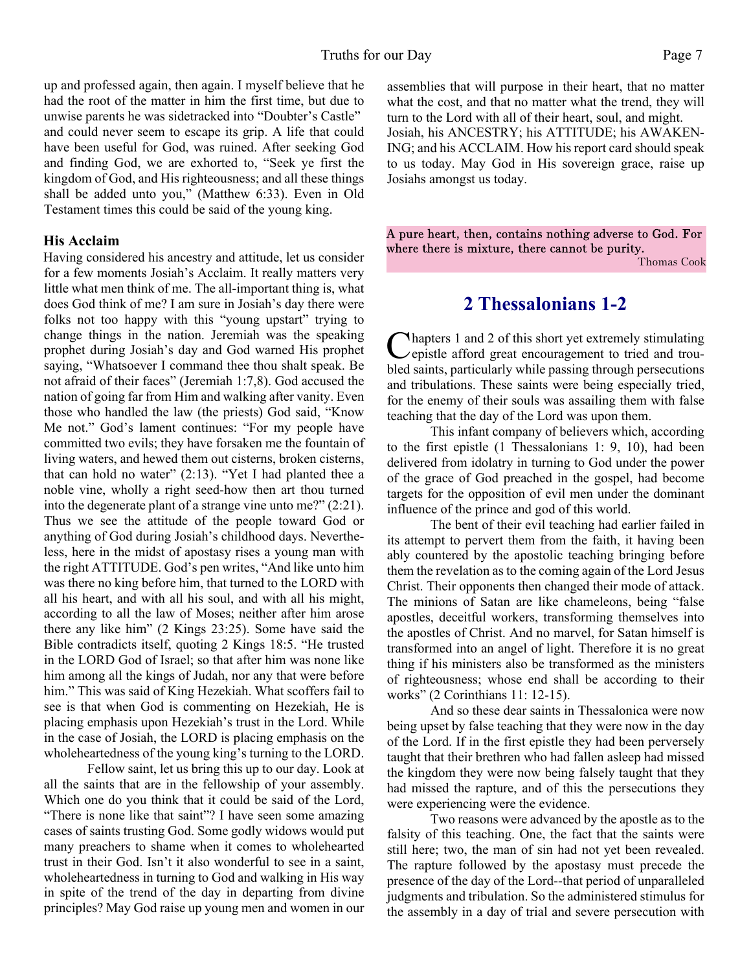up and professed again, then again. I myself believe that he had the root of the matter in him the first time, but due to unwise parents he was sidetracked into "Doubter's Castle" and could never seem to escape its grip. A life that could have been useful for God, was ruined. After seeking God and finding God, we are exhorted to, "Seek ye first the kingdom of God, and His righteousness; and all these things shall be added unto you," (Matthew 6:33). Even in Old Testament times this could be said of the young king.

# **His Acclaim**

Having considered his ancestry and attitude, let us consider for a few moments Josiah's Acclaim. It really matters very little what men think of me. The all-important thing is, what does God think of me? I am sure in Josiah's day there were folks not too happy with this "young upstart" trying to change things in the nation. Jeremiah was the speaking prophet during Josiah's day and God warned His prophet saying, "Whatsoever I command thee thou shalt speak. Be not afraid of their faces" (Jeremiah 1:7,8). God accused the nation of going far from Him and walking after vanity. Even those who handled the law (the priests) God said, "Know Me not." God's lament continues: "For my people have committed two evils; they have forsaken me the fountain of living waters, and hewed them out cisterns, broken cisterns, that can hold no water"  $(2:13)$ . "Yet I had planted thee a noble vine, wholly a right seed-how then art thou turned into the degenerate plant of a strange vine unto me?" (2:21). Thus we see the attitude of the people toward God or anything of God during Josiah's childhood days. Nevertheless, here in the midst of apostasy rises a young man with the right ATTITUDE. God's pen writes, "And like unto him was there no king before him, that turned to the LORD with all his heart, and with all his soul, and with all his might, according to all the law of Moses; neither after him arose there any like him" (2 Kings 23:25). Some have said the Bible contradicts itself, quoting 2 Kings 18:5. "He trusted in the LORD God of Israel; so that after him was none like him among all the kings of Judah, nor any that were before him." This was said of King Hezekiah. What scoffers fail to see is that when God is commenting on Hezekiah, He is placing emphasis upon Hezekiah's trust in the Lord. While in the case of Josiah, the LORD is placing emphasis on the wholeheartedness of the young king's turning to the LORD.

 Fellow saint, let us bring this up to our day. Look at all the saints that are in the fellowship of your assembly. Which one do you think that it could be said of the Lord, "There is none like that saint"? I have seen some amazing cases of saints trusting God. Some godly widows would put many preachers to shame when it comes to wholehearted trust in their God. Isn't it also wonderful to see in a saint, wholeheartedness in turning to God and walking in His way in spite of the trend of the day in departing from divine principles? May God raise up young men and women in our

assemblies that will purpose in their heart, that no matter what the cost, and that no matter what the trend, they will turn to the Lord with all of their heart, soul, and might. Josiah, his ANCESTRY; his ATTITUDE; his AWAKEN-ING; and his ACCLAIM. How his report card should speak to us today. May God in His sovereign grace, raise up Josiahs amongst us today.

A pure heart, then, contains nothing adverse to God. For where there is mixture, there cannot be purity.

Thomas Cook

# **2 Thessalonians 1-2**

Chapters 1 and 2 of this short yet extremely stimulating<br>epistle afford great encouragement to tried and trouhapters 1 and 2 of this short yet extremely stimulating bled saints, particularly while passing through persecutions and tribulations. These saints were being especially tried, for the enemy of their souls was assailing them with false teaching that the day of the Lord was upon them.

 This infant company of believers which, according to the first epistle (1 Thessalonians 1: 9, 10), had been delivered from idolatry in turning to God under the power of the grace of God preached in the gospel, had become targets for the opposition of evil men under the dominant influence of the prince and god of this world.

 The bent of their evil teaching had earlier failed in its attempt to pervert them from the faith, it having been ably countered by the apostolic teaching bringing before them the revelation as to the coming again of the Lord Jesus Christ. Their opponents then changed their mode of attack. The minions of Satan are like chameleons, being "false apostles, deceitful workers, transforming themselves into the apostles of Christ. And no marvel, for Satan himself is transformed into an angel of light. Therefore it is no great thing if his ministers also be transformed as the ministers of righteousness; whose end shall be according to their works" (2 Corinthians 11: 12-15).

 And so these dear saints in Thessalonica were now being upset by false teaching that they were now in the day of the Lord. If in the first epistle they had been perversely taught that their brethren who had fallen asleep had missed the kingdom they were now being falsely taught that they had missed the rapture, and of this the persecutions they were experiencing were the evidence.

 Two reasons were advanced by the apostle as to the falsity of this teaching. One, the fact that the saints were still here; two, the man of sin had not yet been revealed. The rapture followed by the apostasy must precede the presence of the day of the Lord--that period of unparalleled judgments and tribulation. So the administered stimulus for the assembly in a day of trial and severe persecution with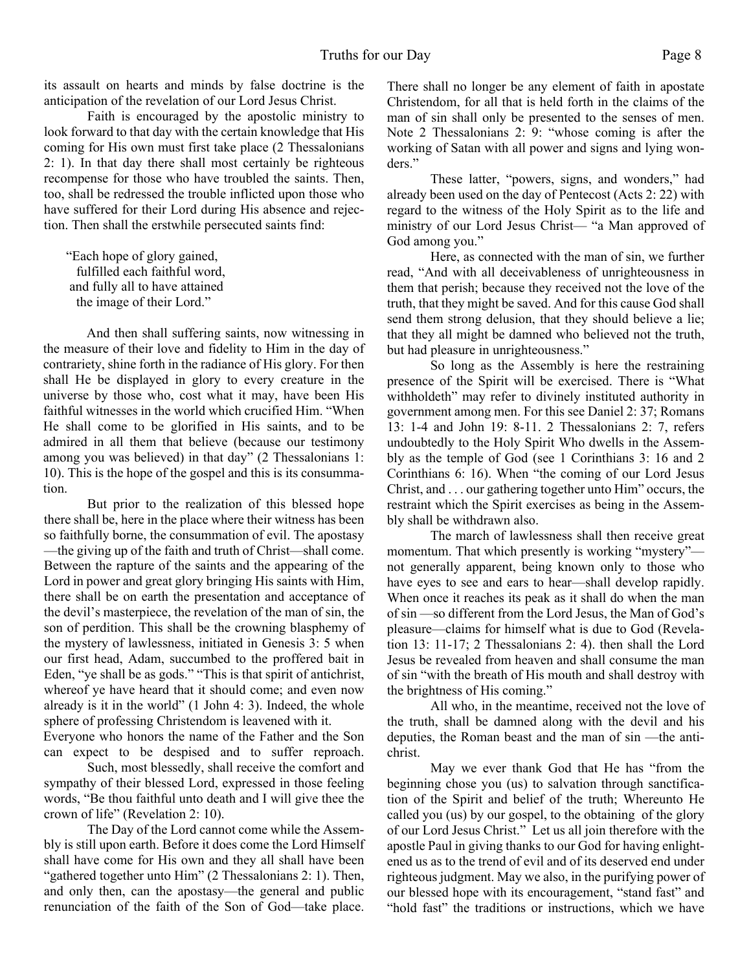its assault on hearts and minds by false doctrine is the anticipation of the revelation of our Lord Jesus Christ.

 Faith is encouraged by the apostolic ministry to look forward to that day with the certain knowledge that His coming for His own must first take place (2 Thessalonians 2: 1). In that day there shall most certainly be righteous recompense for those who have troubled the saints. Then, too, shall be redressed the trouble inflicted upon those who have suffered for their Lord during His absence and rejection. Then shall the erstwhile persecuted saints find:

"Each hope of glory gained, fulfilled each faithful word, and fully all to have attained the image of their Lord."

And then shall suffering saints, now witnessing in the measure of their love and fidelity to Him in the day of contrariety, shine forth in the radiance of His glory. For then shall He be displayed in glory to every creature in the universe by those who, cost what it may, have been His faithful witnesses in the world which crucified Him. "When He shall come to be glorified in His saints, and to be admired in all them that believe (because our testimony among you was believed) in that day" (2 Thessalonians 1: 10). This is the hope of the gospel and this is its consummation.

 But prior to the realization of this blessed hope there shall be, here in the place where their witness has been so faithfully borne, the consummation of evil. The apostasy —the giving up of the faith and truth of Christ—shall come. Between the rapture of the saints and the appearing of the Lord in power and great glory bringing His saints with Him, there shall be on earth the presentation and acceptance of the devil's masterpiece, the revelation of the man of sin, the son of perdition. This shall be the crowning blasphemy of the mystery of lawlessness, initiated in Genesis 3: 5 when our first head, Adam, succumbed to the proffered bait in Eden, "ye shall be as gods." "This is that spirit of antichrist, whereof ye have heard that it should come; and even now already is it in the world" (1 John 4: 3). Indeed, the whole sphere of professing Christendom is leavened with it.

Everyone who honors the name of the Father and the Son can expect to be despised and to suffer reproach.

 Such, most blessedly, shall receive the comfort and sympathy of their blessed Lord, expressed in those feeling words, "Be thou faithful unto death and I will give thee the crown of life" (Revelation 2: 10).

 The Day of the Lord cannot come while the Assembly is still upon earth. Before it does come the Lord Himself shall have come for His own and they all shall have been "gathered together unto Him" (2 Thessalonians 2: 1). Then, and only then, can the apostasy—the general and public renunciation of the faith of the Son of God—take place.

There shall no longer be any element of faith in apostate Christendom, for all that is held forth in the claims of the man of sin shall only be presented to the senses of men. Note 2 Thessalonians 2: 9: "whose coming is after the working of Satan with all power and signs and lying wonders."

 These latter, "powers, signs, and wonders," had already been used on the day of Pentecost (Acts 2: 22) with regard to the witness of the Holy Spirit as to the life and ministry of our Lord Jesus Christ— "a Man approved of God among you."

 Here, as connected with the man of sin, we further read, "And with all deceivableness of unrighteousness in them that perish; because they received not the love of the truth, that they might be saved. And for this cause God shall send them strong delusion, that they should believe a lie; that they all might be damned who believed not the truth, but had pleasure in unrighteousness."

 So long as the Assembly is here the restraining presence of the Spirit will be exercised. There is "What withholdeth" may refer to divinely instituted authority in government among men. For this see Daniel 2: 37; Romans 13: 1-4 and John 19: 8-11. 2 Thessalonians 2: 7, refers undoubtedly to the Holy Spirit Who dwells in the Assembly as the temple of God (see 1 Corinthians 3: 16 and 2 Corinthians 6: 16). When "the coming of our Lord Jesus Christ, and . . . our gathering together unto Him" occurs, the restraint which the Spirit exercises as being in the Assembly shall be withdrawn also.

 The march of lawlessness shall then receive great momentum. That which presently is working "mystery" not generally apparent, being known only to those who have eyes to see and ears to hear—shall develop rapidly. When once it reaches its peak as it shall do when the man of sin —so different from the Lord Jesus, the Man of God's pleasure—claims for himself what is due to God (Revelation 13: 11-17; 2 Thessalonians 2: 4). then shall the Lord Jesus be revealed from heaven and shall consume the man of sin "with the breath of His mouth and shall destroy with the brightness of His coming."

 All who, in the meantime, received not the love of the truth, shall be damned along with the devil and his deputies, the Roman beast and the man of sin —the antichrist.

 May we ever thank God that He has "from the beginning chose you (us) to salvation through sanctification of the Spirit and belief of the truth; Whereunto He called you (us) by our gospel, to the obtaining of the glory of our Lord Jesus Christ." Let us all join therefore with the apostle Paul in giving thanks to our God for having enlightened us as to the trend of evil and of its deserved end under righteous judgment. May we also, in the purifying power of our blessed hope with its encouragement, "stand fast" and "hold fast" the traditions or instructions, which we have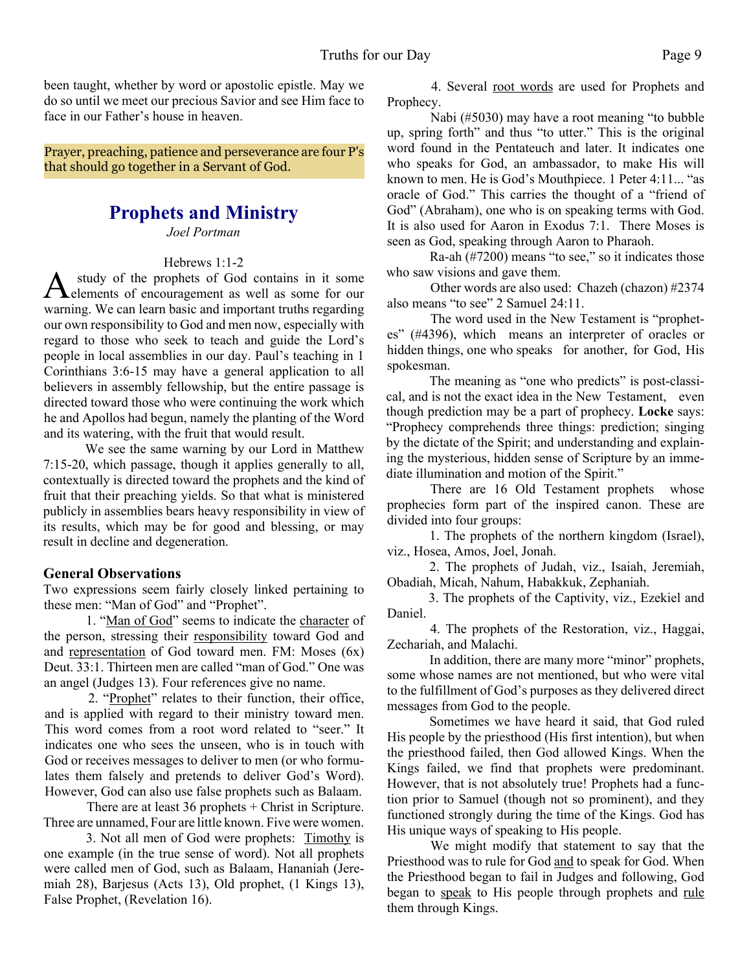been taught, whether by word or apostolic epistle. May we do so until we meet our precious Savior and see Him face to face in our Father's house in heaven.

Prayer, preaching, patience and perseverance are four P's that should go together in a Servant of God.

# **Prophets and Ministry**

*Joel Portman*

#### Hebrews 1:1-2

A study of the prophets of God contains in it some<br>elements of encouragement as well as some for our<br>warning. We can learn basic and important truths regarding study of the prophets of God contains in it some elements of encouragement as well as some for our our own responsibility to God and men now, especially with regard to those who seek to teach and guide the Lord's people in local assemblies in our day. Paul's teaching in 1 Corinthians 3:6-15 may have a general application to all believers in assembly fellowship, but the entire passage is directed toward those who were continuing the work which he and Apollos had begun, namely the planting of the Word and its watering, with the fruit that would result.

We see the same warning by our Lord in Matthew 7:15-20, which passage, though it applies generally to all, contextually is directed toward the prophets and the kind of fruit that their preaching yields. So that what is ministered publicly in assemblies bears heavy responsibility in view of its results, which may be for good and blessing, or may result in decline and degeneration.

# **General Observations**

Two expressions seem fairly closely linked pertaining to these men: "Man of God" and "Prophet".

1. "Man of God" seems to indicate the character of the person, stressing their responsibility toward God and and representation of God toward men. FM: Moses (6x) Deut. 33:1. Thirteen men are called "man of God." One was an angel (Judges 13). Four references give no name.

2. "Prophet" relates to their function, their office, and is applied with regard to their ministry toward men. This word comes from a root word related to "seer." It indicates one who sees the unseen, who is in touch with God or receives messages to deliver to men (or who formulates them falsely and pretends to deliver God's Word). However, God can also use false prophets such as Balaam.

There are at least  $36$  prophets  $+$  Christ in Scripture. Three are unnamed, Four are little known. Five were women.

3. Not all men of God were prophets: Timothy is one example (in the true sense of word). Not all prophets were called men of God, such as Balaam, Hananiah (Jeremiah 28), Barjesus (Acts 13), Old prophet, (1 Kings 13), False Prophet, (Revelation 16).

4. Several root words are used for Prophets and Prophecy.

Nabi (#5030) may have a root meaning "to bubble up, spring forth" and thus "to utter." This is the original word found in the Pentateuch and later. It indicates one who speaks for God, an ambassador, to make His will known to men. He is God's Mouthpiece. 1 Peter 4:11... "as oracle of God." This carries the thought of a "friend of God" (Abraham), one who is on speaking terms with God. It is also used for Aaron in Exodus 7:1. There Moses is seen as God, speaking through Aaron to Pharaoh.

Ra-ah (#7200) means "to see," so it indicates those who saw visions and gave them.

Other words are also used: Chazeh (chazon) #2374 also means "to see" 2 Samuel 24:11.

 The word used in the New Testament is "prophetes" (#4396), which means an interpreter of oracles or hidden things, one who speaks for another, for God, His spokesman.

The meaning as "one who predicts" is post-classical, and is not the exact idea in the New Testament, even though prediction may be a part of prophecy. **Locke** says: "Prophecy comprehends three things: prediction; singing by the dictate of the Spirit; and understanding and explaining the mysterious, hidden sense of Scripture by an immediate illumination and motion of the Spirit."

There are 16 Old Testament prophets whose prophecies form part of the inspired canon. These are divided into four groups:

1. The prophets of the northern kingdom (Israel), viz., Hosea, Amos, Joel, Jonah.

2. The prophets of Judah, viz., Isaiah, Jeremiah, Obadiah, Micah, Nahum, Habakkuk, Zephaniah.

3. The prophets of the Captivity, viz., Ezekiel and Daniel.

4. The prophets of the Restoration, viz., Haggai, Zechariah, and Malachi.

In addition, there are many more "minor" prophets, some whose names are not mentioned, but who were vital to the fulfillment of God's purposes as they delivered direct messages from God to the people.

Sometimes we have heard it said, that God ruled His people by the priesthood (His first intention), but when the priesthood failed, then God allowed Kings. When the Kings failed, we find that prophets were predominant. However, that is not absolutely true! Prophets had a function prior to Samuel (though not so prominent), and they functioned strongly during the time of the Kings. God has His unique ways of speaking to His people.

We might modify that statement to say that the Priesthood was to rule for God and to speak for God. When the Priesthood began to fail in Judges and following, God began to speak to His people through prophets and rule them through Kings.